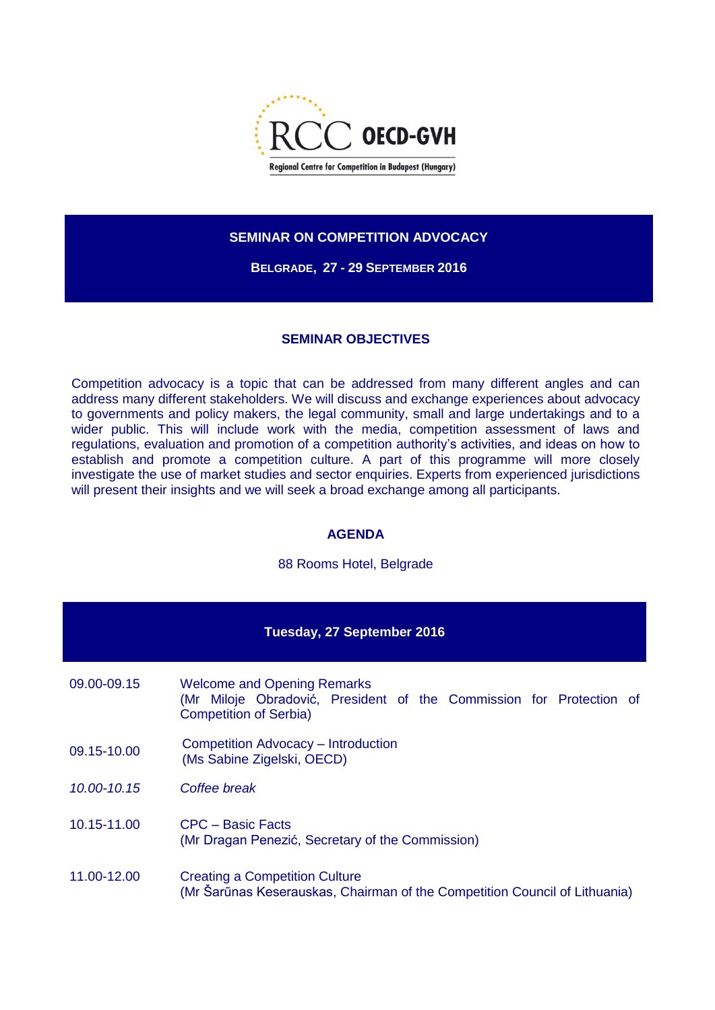

## **SEMINAR ON COMPETITION ADVOCACY**

**BELGRADE, 27 - 29 SEPTEMBER 2016**

## **SEMINAR OBJECTIVES**

Competition advocacy is a topic that can be addressed from many different angles and can address many different stakeholders. We will discuss and exchange experiences about advocacy to governments and policy makers, the legal community, small and large undertakings and to a wider public. This will include work with the media, competition assessment of laws and regulations, evaluation and promotion of a competition authority's activities, and ideas on how to establish and promote a competition culture. A part of this programme will more closely investigate the use of market studies and sector enquiries. Experts from experienced jurisdictions will present their insights and we will seek a broad exchange among all participants.

## **AGENDA**

88 Rooms Hotel, Belgrade

| Tuesday, 27 September 2016 |                                                                                                                                            |  |
|----------------------------|--------------------------------------------------------------------------------------------------------------------------------------------|--|
| 09.00-09.15                | <b>Welcome and Opening Remarks</b><br>(Mr Miloje Obradović, President of the Commission for Protection of<br><b>Competition of Serbia)</b> |  |
| 09.15-10.00                | Competition Advocacy - Introduction<br>(Ms Sabine Zigelski, OECD)                                                                          |  |
| 10.00-10.15                | Coffee break                                                                                                                               |  |
| 10.15-11.00                | CPC – Basic Facts<br>(Mr Dragan Penezić, Secretary of the Commission)                                                                      |  |
| 11.00-12.00                | <b>Creating a Competition Culture</b><br>(Mr Šarūnas Keserauskas, Chairman of the Competition Council of Lithuania)                        |  |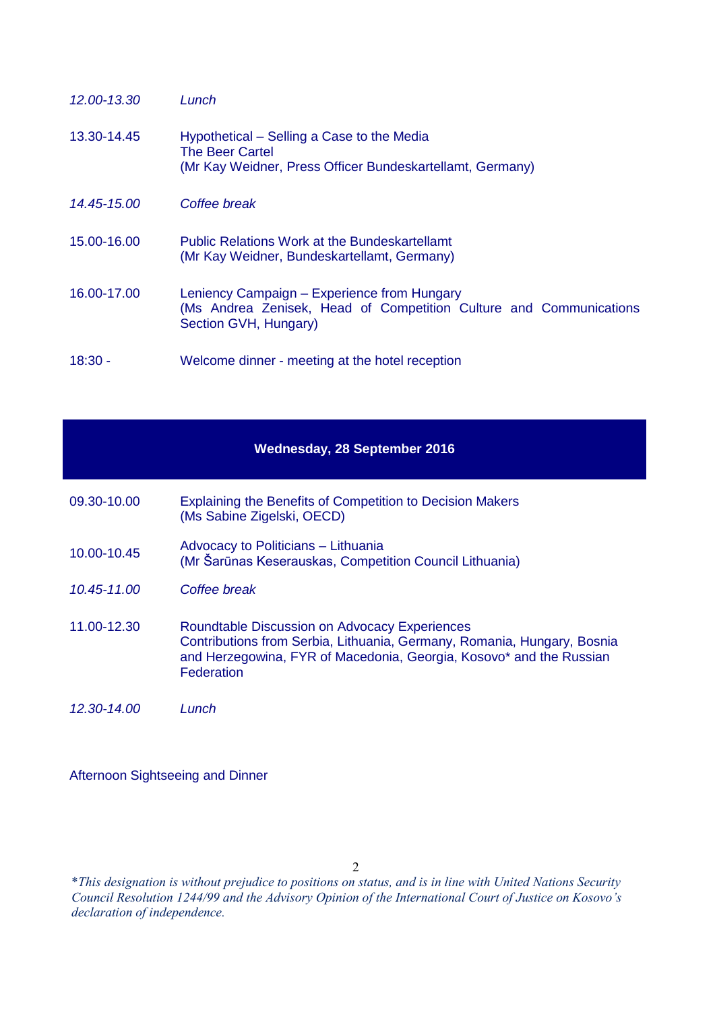| 12.00-13.30 | Lunch                                                                                                                                      |
|-------------|--------------------------------------------------------------------------------------------------------------------------------------------|
| 13.30-14.45 | Hypothetical – Selling a Case to the Media<br><b>The Beer Cartel</b><br>(Mr Kay Weidner, Press Officer Bundeskartellamt, Germany)          |
| 14.45-15.00 | Coffee break                                                                                                                               |
| 15.00-16.00 | <b>Public Relations Work at the Bundeskartellamt</b><br>(Mr Kay Weidner, Bundeskartellamt, Germany)                                        |
| 16.00-17.00 | Leniency Campaign - Experience from Hungary<br>(Ms Andrea Zenisek, Head of Competition Culture and Communications<br>Section GVH, Hungary) |
| $18:30 -$   | Welcome dinner - meeting at the hotel reception                                                                                            |

|             | <b>Wednesday, 28 September 2016</b>                                                                                                                                                                                  |
|-------------|----------------------------------------------------------------------------------------------------------------------------------------------------------------------------------------------------------------------|
| 09.30-10.00 | <b>Explaining the Benefits of Competition to Decision Makers</b><br>(Ms Sabine Zigelski, OECD)                                                                                                                       |
| 10.00-10.45 | Advocacy to Politicians – Lithuania<br>(Mr Šarūnas Keserauskas, Competition Council Lithuania)                                                                                                                       |
| 10.45-11.00 | Coffee break                                                                                                                                                                                                         |
| 11.00-12.30 | <b>Roundtable Discussion on Advocacy Experiences</b><br>Contributions from Serbia, Lithuania, Germany, Romania, Hungary, Bosnia<br>and Herzegowina, FYR of Macedonia, Georgia, Kosovo* and the Russian<br>Federation |
| 12.30-14.00 | Lunch                                                                                                                                                                                                                |

Afternoon Sightseeing and Dinner

\**This designation is without prejudice to positions on status, and is in line with United Nations Security Council Resolution 1244/99 and the Advisory Opinion of the International Court of Justice on Kosovo's declaration of independence.*